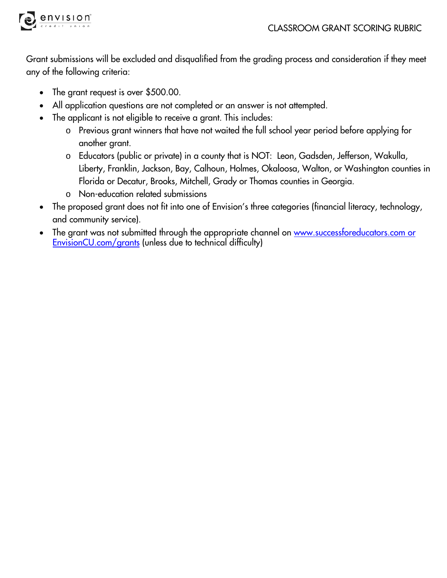



Grant submissions will be excluded and disqualified from the grading process and consideration if they meet any of the following criteria:

- The grant request is over \$500.00.
- All application questions are not completed or an answer is not attempted.
- The applicant is not eligible to receive a grant. This includes:
	- o Previous grant winners that have not waited the full school year period before applying for another grant.
	- o Educators (public or private) in a county that is NOT: Leon, Gadsden, Jefferson, Wakulla, Liberty, Franklin, Jackson, Bay, Calhoun, Holmes, Okaloosa, Walton, or Washington counties in Florida or Decatur, Brooks, Mitchell, Grady or Thomas counties in Georgia.
	- o Non-education related submissions
- The proposed grant does not fit into one of Envision's three categories (financial literacy, technology, and community service).
- The grant was not submitted through the appropriate channel on www.successforeducators.com or EnvisionCU.com/grants (unless due to technical difficulty)